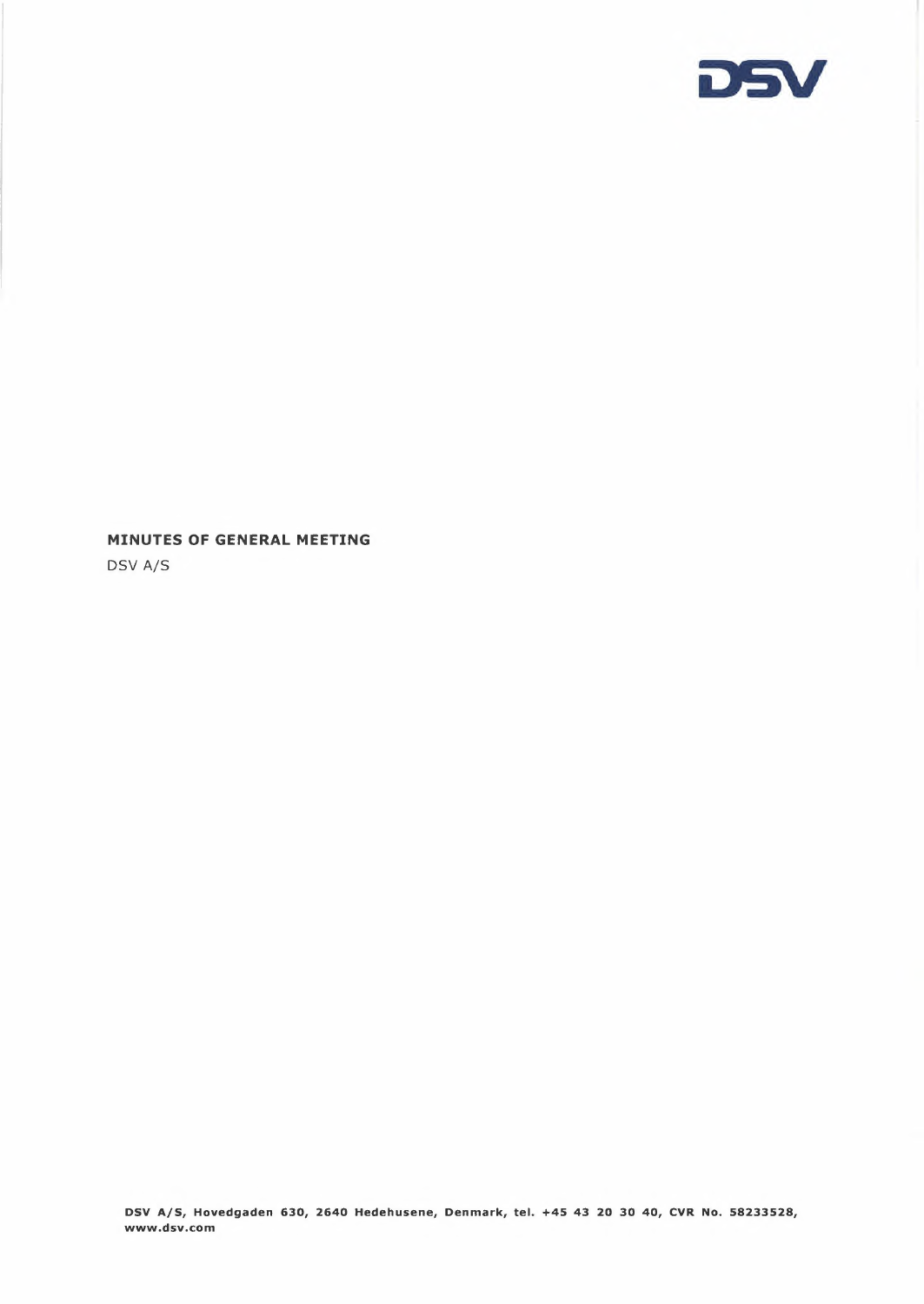

# **MINUTES OF GENERAL MEETING**

DSV A/S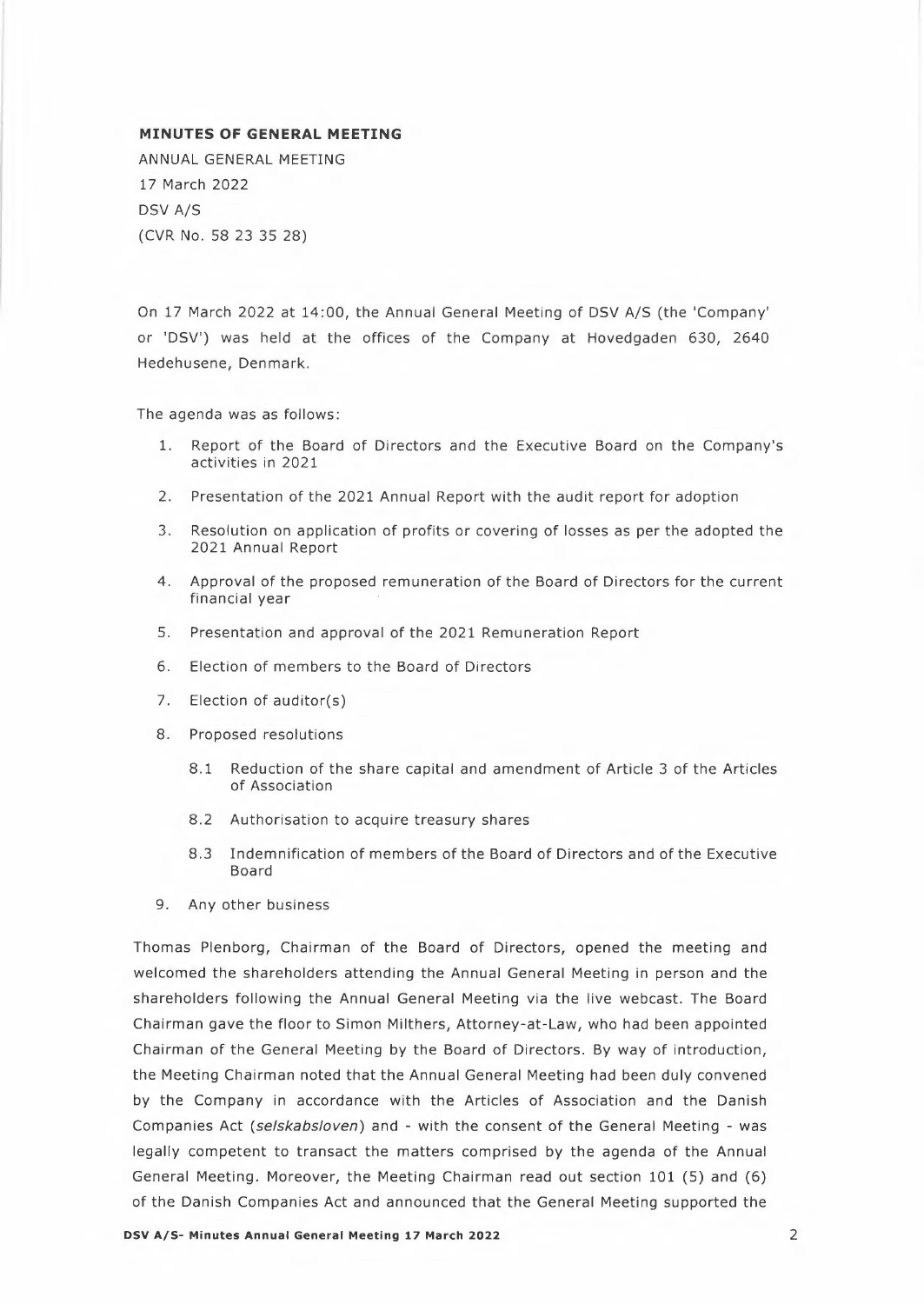## **MINUTES OF GENERAL MEETING**

ANNUAL GENERAL MEETING 17 March 2022 DSV A/S (CVR No. 58 23 35 28)

On 17 March 2022 at 14:00, the Annual General Meeting of DSV A/S (the 'Company' or 'DSV') was held at the offices of the Company at Hovedgaden 630, 2640 Hedehusene, Denmark.

The agenda was as follows:

- l. Report of the Board of Directors and the Executive Board on the Company's activities in 2021
- 2. Presentation of the 2021 Annual Report with the audit report for adoption
- 3. Resolution on application of profits or covering of losses as per the adopted the 2021 Annual Report
- 4. Approval of the proposed remuneration of the Board of Directors for the current financial year
- 5. Presentation and approval of the 2021 Remuneration Report
- 6. Election of members to the Board of Directors
- 7. Election of auditor(s)
- 8. Proposed resolutions
	- 8.1 Reduction of the share capital and amendment of Article 3 of the Articles of Association
	- 8.2 Authorisation to acquire treasury shares
	- 8.3 Indemnification of members of the Board of Directors and of the Executive Board
- 9. Any other business

Thomas Plenborg, Chairman of the Board of Directors, opened the meeting and welcomed the shareholders attending the Annual General Meeting in person and the shareholders following the Annual General Meeting via the live webcast. The Board Chairman gave the floor to Simon Milthers, Attorney-at-Law, who had been appointed Chairman of the General Meeting by the Board of Directors. By way of introduction, the Meeting Chairman noted that the Annual General Meeting had been duly convened by the Company in accordance with the Articles of Association and the Danish Companies Act *(selskabs/oven)* and - with the consent of the General Meeting - was legally competent to transact the matters comprised by the agenda of the Annual General Meeting. Moreover, the Meeting Chairman read out section 101 (5) and (6) of the Danish Companies Act and announced that the General Meeting supported the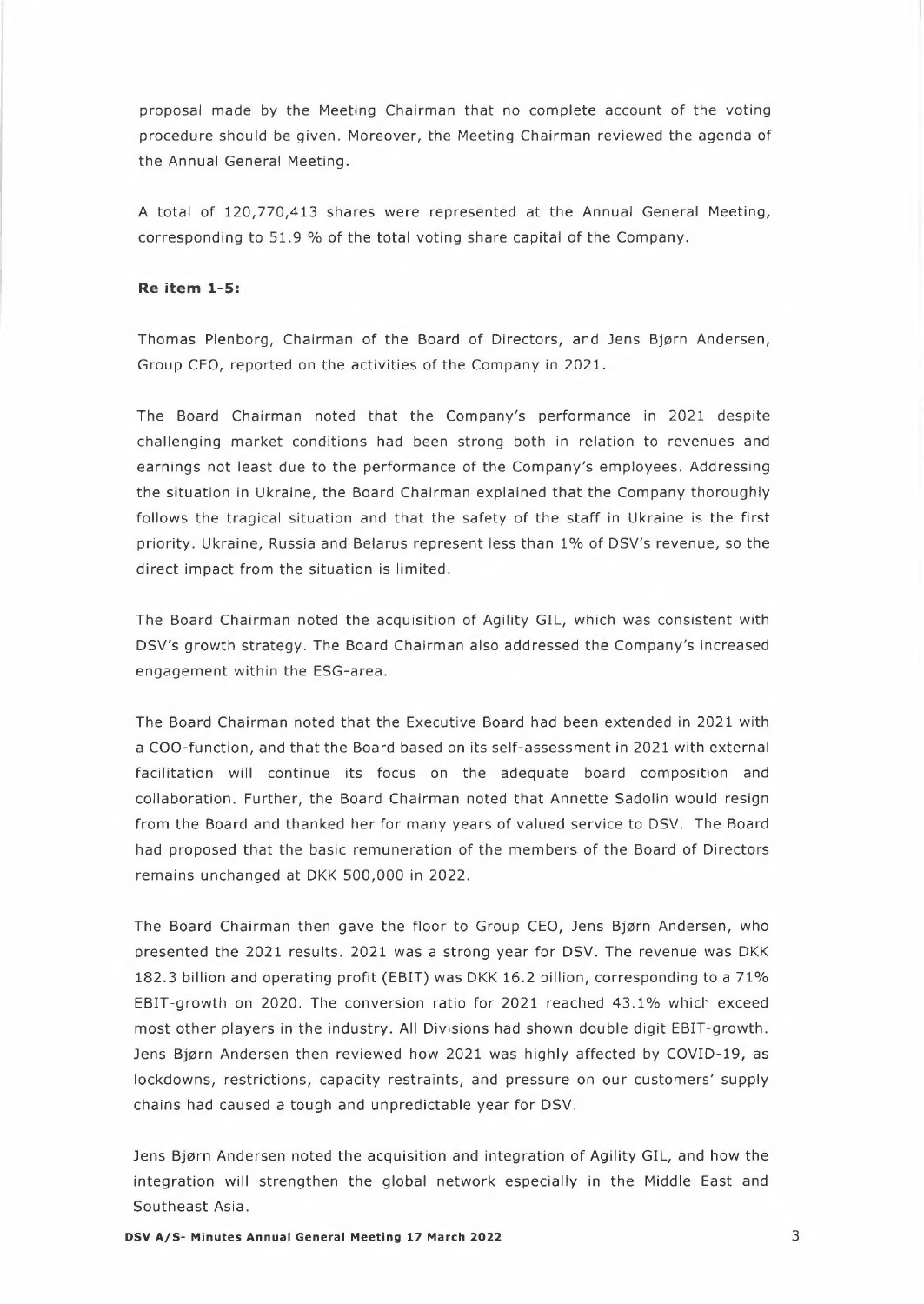proposal made by the Meeting Chairman that no complete account of the voting procedure should be given. Moreover, the Meeting Chairman reviewed the agenda of the Annual General Meeting.

A total of 120,770,413 shares were represented at the Annual General Meeting, corresponding to 51.9 % of the total voting share capital of the Company.

# **Re item 1-5:**

Thomas Plenborg, Chairman of the Board of Directors, and Jens Bjørn Andersen, Group CEO, reported on the activities of the Company in 2021.

The Board Chairman noted that the Company's performance in 2021 despite challenging market conditions had been strong both in relation to revenues and earnings not least due to the performance of the Company's employees. Addressing the situation in Ukraine, the Board Chairman explained that the Company thoroughly follows the tragical situation and that the safety of the staff in Ukraine is the first priority. Ukraine, Russia and Belarus represent less than 1 % of DSV's revenue, so the direct impact from the situation is limited.

The Board Chairman noted the acquisition of Agility GIL, which was consistent with DSV's growth strategy. The Board Chairman also addressed the Company's increased engagement within the ESG-area.

The Board Chairman noted that the Executive Board had been extended in 2021 with a COO-function, and that the Board based on its self-assessment in 2021 with external facilitation will continue its focus on the adequate board composition and collaboration. Further, the Board Chairman noted that Annette Sadolin would resign from the Board and thanked her for many years of valued service to DSV. The Board had proposed that the basic remuneration of the members of the Board of Directors remains unchanged at DKK 500,000 in 2022.

The Board Chairman then gave the floor to Group CEO, Jens Bjørn Andersen, who presented the 2021 results. 2021 was a strong year for DSV. The revenue was DKK 182.3 billion and operating profit (EBIT) was DKK 16.2 billion, corresponding to a 71% EBIT-growth on 2020. The conversion ratio for 2021 reached 43.1% which exceed most other players in the industry. All Divisions had shown double digit EBIT-growth. Jens Bjørn Andersen then reviewed how 2021 was highly affected by COVID-19, as lockdowns, restrictions, capacity restraints, and pressure on our customers' supply chains had caused a tough and unpredictable year for DSV.

Jens Bjørn Andersen noted the acquisition and integration of Agility GIL, and how the integration will strengthen the global network especially in the Middle East and Southeast Asia.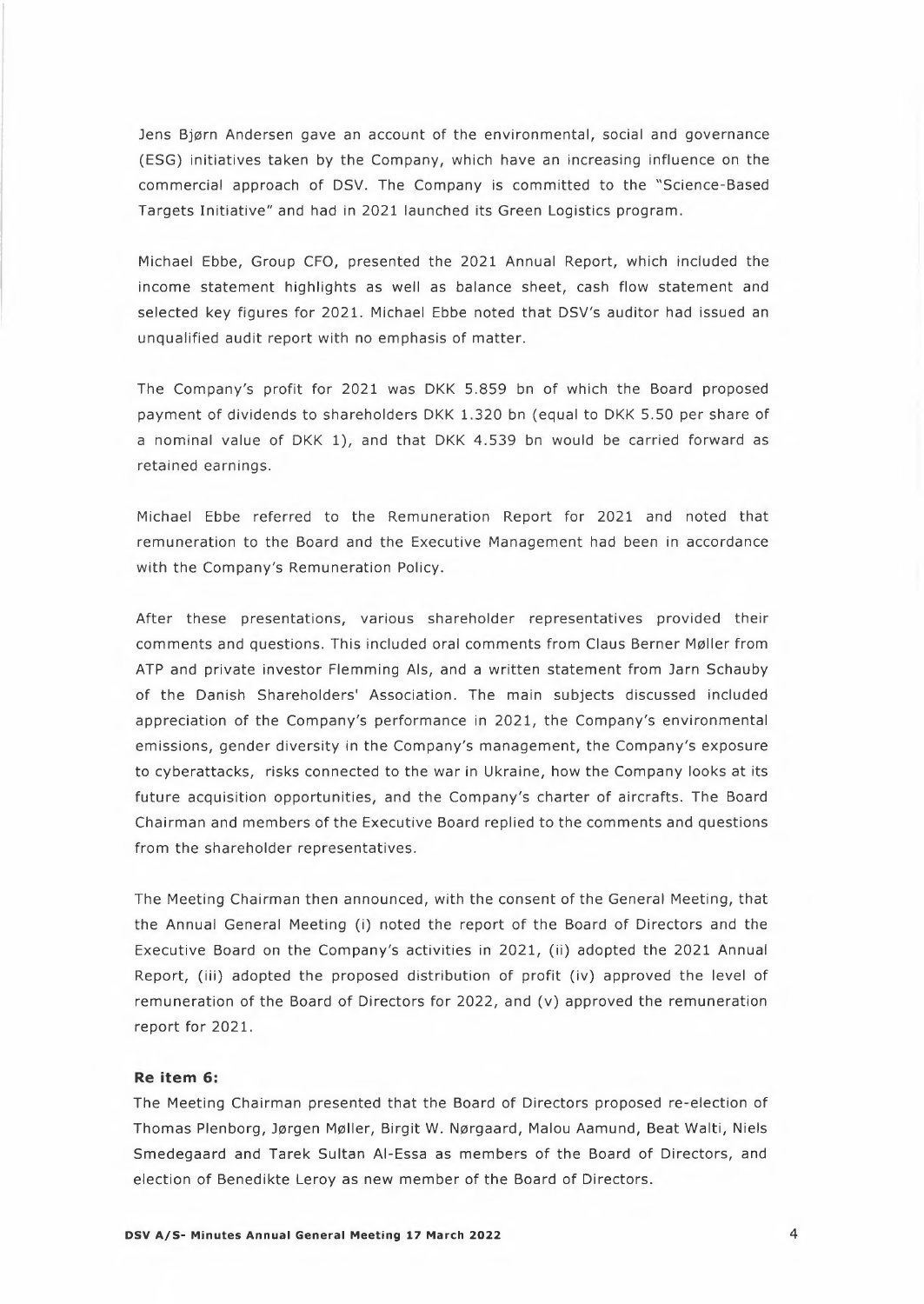Jens Bjørn Andersen gave an account of the environmental, social and governance (ESG) initiatives taken by the Company, which have an increasing influence on the commercial approach of DSV. The Company is committed to the "Science-Based Targets Initiative" and had in 2021 launched its Green Logistics program.

Michael Ebbe, Group CFO, presented the 2021 Annual Report, which included the income statement highlights as well as balance sheet, cash flow statement and selected key figures for 2021. Michael Ebbe noted that DSV's auditor had issued an unqualified audit report with no emphasis of matter.

The Company's profit for 2021 was DKK 5.859 bn of which the Board proposed payment of dividends to shareholders DKK 1.320 bn (equal to DKK 5.50 per share of a nominal value of DKK 1), and that DKK 4.539 bn would be carried forward as retained earnings.

Michael Ebbe referred to the Remuneration Report for 2021 and noted that remuneration to the Board and the Executive Management had been in accordance with the Company's Remuneration Policy.

After these presentations, various shareholder representatives provided their comments and questions. This included oral comments from Claus Berner Møller from ATP and private investor Flemming Als, and a written statement from Jarn Schauby of the Danish Shareholders' Association. The main subjects discussed included appreciation of the Company's performance in 2021, the Company's environmental emissions, gender diversity in the Company's management, the Company's exposure to cyberattacks, risks connected to the war in Ukraine, how the Company looks at its future acquisition opportunities, and the Company's charter of aircrafts. The Board Chairman and members of the Executive Board replied to the comments and questions from the shareholder representatives.

The Meeting Chairman then announced, with the consent of the General Meeting, that the Annual General Meeting (i) noted the report of the Board of Directors and the Executive Board on the Company's activities in 2021, (ii) adopted the 2021 Annual Report, (iii) adopted the proposed distribution of profit (iv) approved the level of remuneration of the Board of Directors for 2022, and (v) approved the remuneration report for 2021.

#### **Re item 6:**

The Meeting Chairman presented that the Board of Directors proposed re-election of Thomas Plenborg, Jørgen Møller, Birgit W. Nørgaard, Malou Aamund, Beat Walti, Niels Smedegaard and Tarek Sultan Al-Essa as members of the Board of Directors, and election of Benedikte Leroy as new member of the Board of Directors.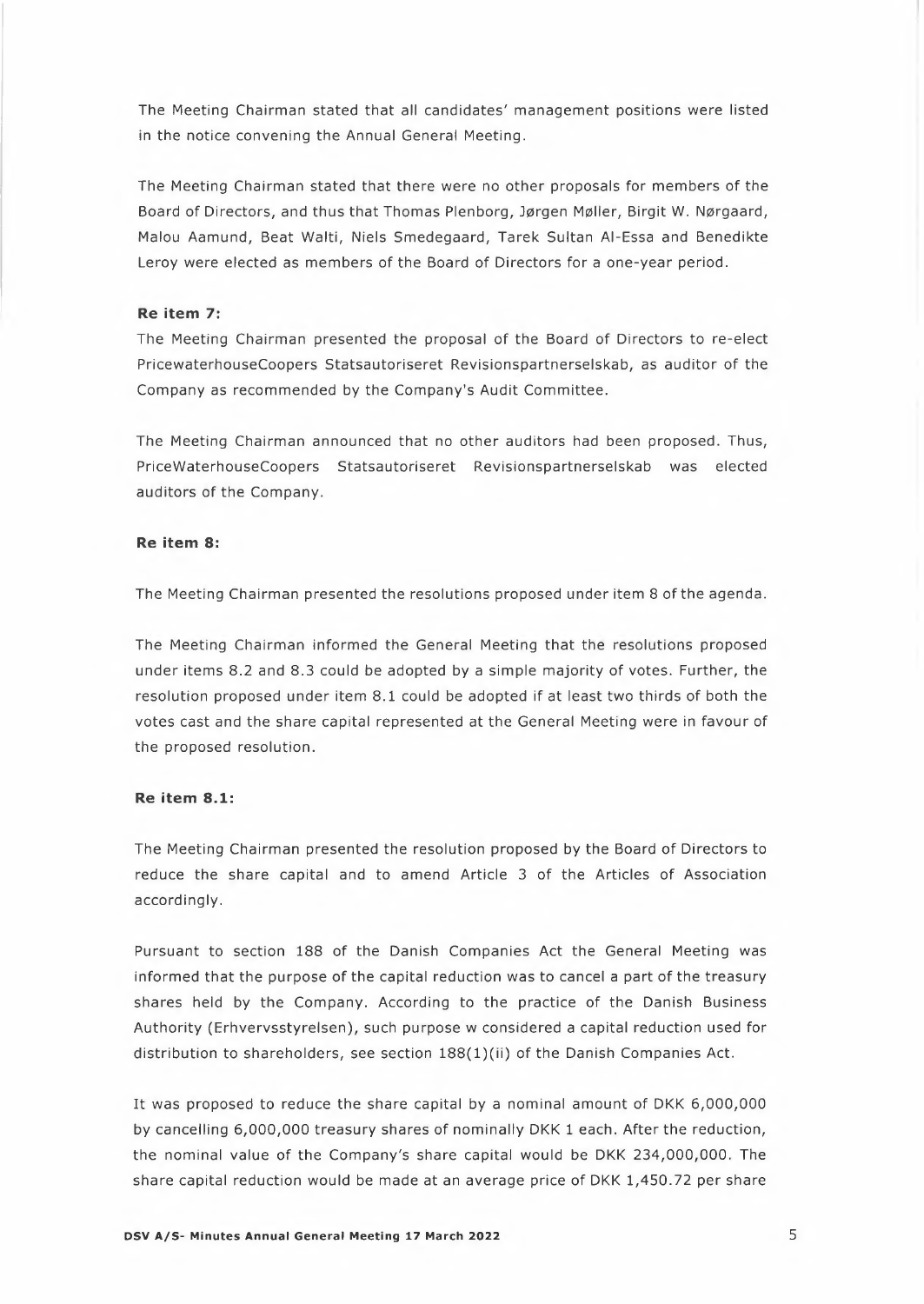The Meeting Chairman stated that all candidates' management positions were listed in the notice convening the Annual General Meeting.

The Meeting Chairman stated that there were no other proposals for members of the Board of Directors, and thus that Thomas Plenborg, Jørgen Møller, Birgit W. Nørgaard, Malou Aamund, Beat Walti, Niels Smedegaard, Tarek Sultan Al-Essa and Benedikte Leroy were elected as members of the Board of Directors for a one-year period.

#### **Re item 7:**

The Meeting Chairman presented the proposal of the Board of Directors to re-elect PricewaterhouseCoopers Statsautoriseret Revisionspartnerselskab, as auditor of the Company as recommended by the Company's Audit Committee.

The Meeting Chairman announced that no other auditors had been proposed. Thus, PriceWaterhouseCoopers Statsautoriseret Revisionspartnerselskab was elected auditors of the Company.

## **Re item 8:**

The Meeting Chairman presented the resolutions proposed under item 8 of the agenda.

The Meeting Chairman informed the General Meeting that the resolutions proposed under items 8.2 and 8.3 could be adopted by a simple majority of votes. Further, the resolution proposed under item 8.1 could be adopted if at least two thirds of both the votes cast and the share capital represented at the General Meeting were in favour of the proposed resolution.

#### **Re item 8.1:**

The Meeting Chairman presented the resolution proposed by the Board of Directors to reduce the share capital and to amend Article 3 of the Articles of Association accordingly.

Pursuant to section 188 of the Danish Companies Act the General Meeting was informed that the purpose of the capital reduction was to cancel a part of the treasury shares held by the Company. According to the practice of the Danish Business Authority (Erhvervsstyrelsen), such purpose w considered a capital reduction used for distribution to shareholders, see section 188(1)(ii) of the Danish Companies Act.

It was proposed to reduce the share capital by a nominal amount of DKK 6,000,000 by cancelling 6,000,000 treasury shares of nominally DKK 1 each. After the reduction, the nominal value of the Company's share capital would be DKK 234,000,000. The share capital reduction would be made at an average price of DKK 1,450.72 per share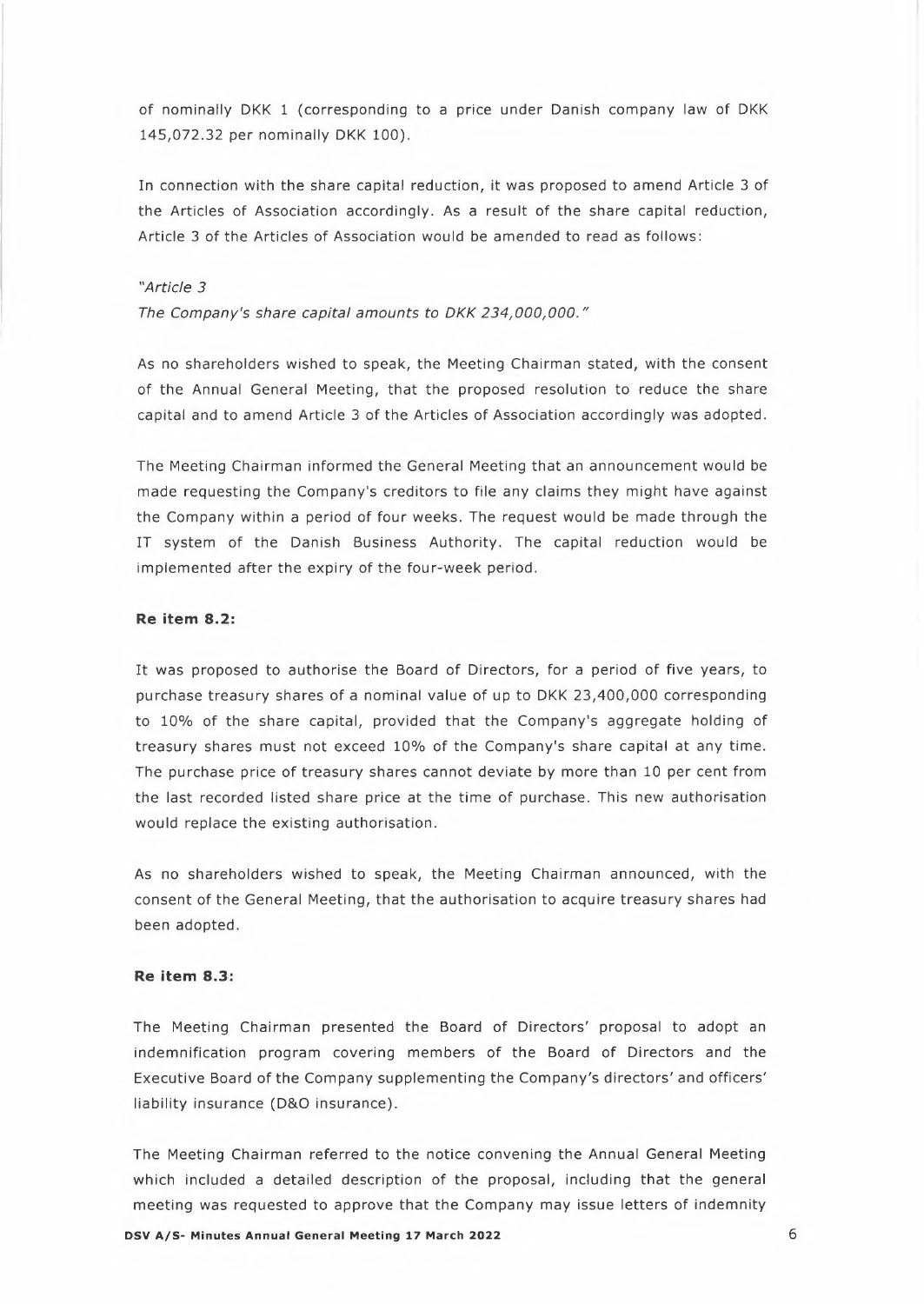of nominally DKK 1 (corresponding to a price under Danish company law of DKK 145,072.32 per nominally DKK 100).

In connection with the share capital reduction, it was proposed to amend Article 3 of the Articles of Association accordingly. As a result of the share capital reduction, Article 3 of the Articles of Association would be amended to read as follows:

## *"Article 3*

*The Company's share capital amounts to DKK 234,000,000."* 

As no shareholders wished to speak, the Meeting Chairman stated, with the consent of the Annual General Meeting, that the proposed resolution to reduce the share capital and to amend Article 3 of the Articles of Association accordingly was adopted.

The Meeting Chairman informed the General Meeting that an announcement would be made requesting the Company's creditors to file any claims they might have against the Company within a period of four weeks. The request would be made through the IT system of the Danish Business Authority. The capital reduction would be implemented after the expiry of the four-week period.

#### **Re item 8.2:**

It was proposed to authorise the Board of Directors, for a period of five years, to purchase treasury shares of a nominal value of up to DKK 23,400,000 corresponding to 10% of the share capital, provided that the Company's aggregate holding of treasury shares must not exceed 10% of the Company's share capital at any time. The purchase price of treasury shares cannot deviate by more than 10 per cent from the last recorded listed share price at the time of purchase. This new authorisation would replace the existing authorisation.

As no shareholders wished to speak, the Meeting Chairman announced, with the consent of the General Meeting, that the authorisation to acquire treasury shares had been adopted.

#### **Re item 8.3:**

The Meeting Chairman presented the Board of Directors' proposal to adopt an indemnification program covering members of the Board of Directors and the Executive Board of the Company supplementing the Company's directors' and officers' liability insurance (D&O insurance).

The Meeting Chairman referred to the notice convening the Annual General Meeting which included a detailed description of the proposal, including that the general meeting was requested to approve that the Company may issue letters of indemnity